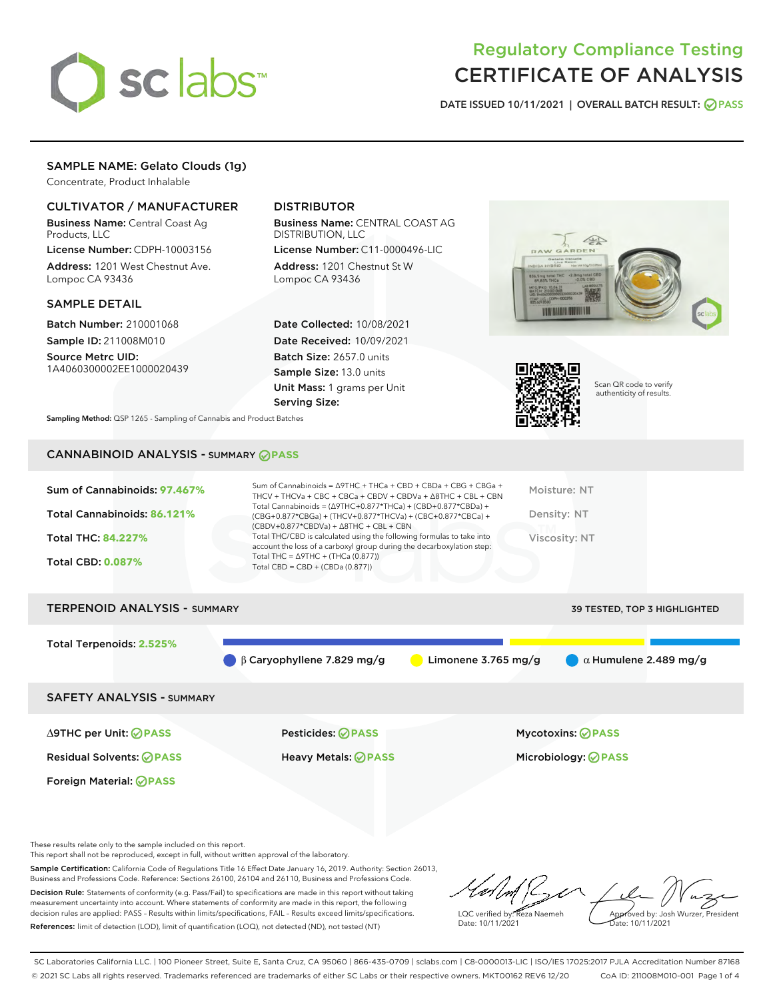

# Regulatory Compliance Testing CERTIFICATE OF ANALYSIS

DATE ISSUED 10/11/2021 | OVERALL BATCH RESULT: @ PASS

## SAMPLE NAME: Gelato Clouds (1g)

Concentrate, Product Inhalable

## CULTIVATOR / MANUFACTURER

Business Name: Central Coast Ag Products, LLC

License Number: CDPH-10003156 Address: 1201 West Chestnut Ave. Lompoc CA 93436

#### SAMPLE DETAIL

Batch Number: 210001068 Sample ID: 211008M010

Source Metrc UID: 1A4060300002EE1000020439

## DISTRIBUTOR

Business Name: CENTRAL COAST AG DISTRIBUTION, LLC

License Number: C11-0000496-LIC Address: 1201 Chestnut St W Lompoc CA 93436

Date Collected: 10/08/2021 Date Received: 10/09/2021 Batch Size: 2657.0 units Sample Size: 13.0 units Unit Mass: 1 grams per Unit Serving Size:





Scan QR code to verify authenticity of results.

Sampling Method: QSP 1265 - Sampling of Cannabis and Product Batches

## CANNABINOID ANALYSIS - SUMMARY **PASS**



Total Terpenoids: **2.525%** β Caryophyllene 7.829 mg/g Limonene 3.765 mg/g α Humulene 2.489 mg/g SAFETY ANALYSIS - SUMMARY

∆9THC per Unit: **PASS** Pesticides: **PASS** Mycotoxins: **PASS**

Foreign Material: **PASS**

Residual Solvents: **PASS** Heavy Metals: **PASS** Microbiology: **PASS**

These results relate only to the sample included on this report.

This report shall not be reproduced, except in full, without written approval of the laboratory.

Sample Certification: California Code of Regulations Title 16 Effect Date January 16, 2019. Authority: Section 26013, Business and Professions Code. Reference: Sections 26100, 26104 and 26110, Business and Professions Code. Decision Rule: Statements of conformity (e.g. Pass/Fail) to specifications are made in this report without taking measurement uncertainty into account. Where statements of conformity are made in this report, the following

References: limit of detection (LOD), limit of quantification (LOQ), not detected (ND), not tested (NT)

decision rules are applied: PASS – Results within limits/specifications, FAIL – Results exceed limits/specifications.

LQC verified by: Reza Naemeh Date: 10/11/2021 Approved by: Josh Wurzer, President Date: 10/11/2021

SC Laboratories California LLC. | 100 Pioneer Street, Suite E, Santa Cruz, CA 95060 | 866-435-0709 | sclabs.com | C8-0000013-LIC | ISO/IES 17025:2017 PJLA Accreditation Number 87168 © 2021 SC Labs all rights reserved. Trademarks referenced are trademarks of either SC Labs or their respective owners. MKT00162 REV6 12/20 CoA ID: 211008M010-001 Page 1 of 4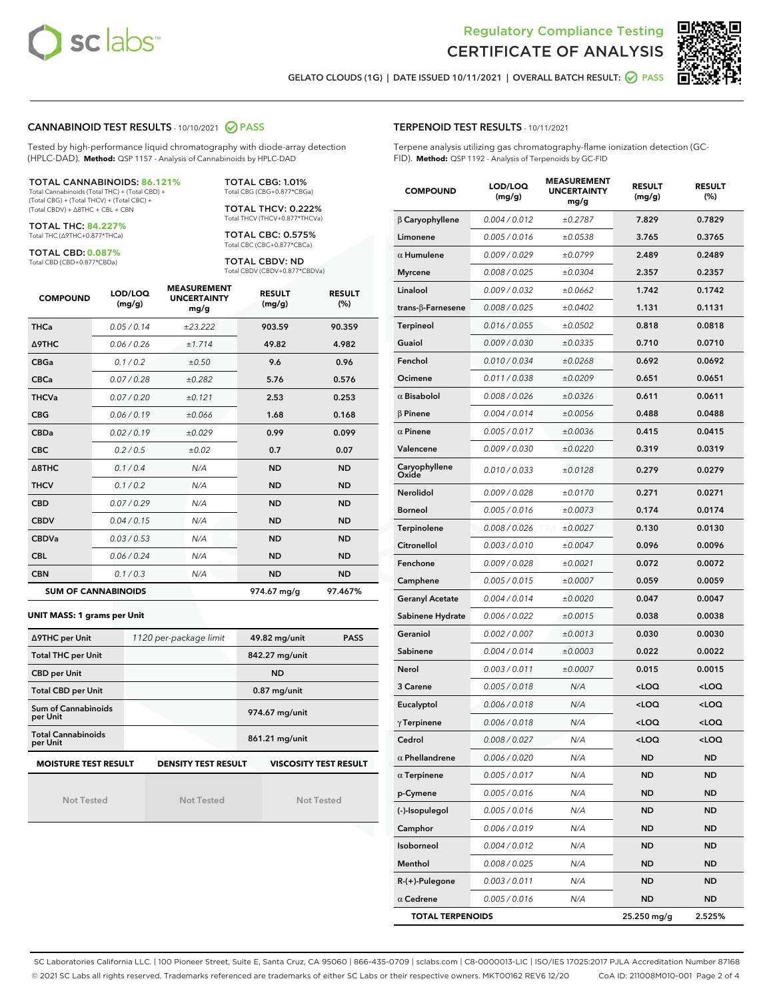



GELATO CLOUDS (1G) | DATE ISSUED 10/11/2021 | OVERALL BATCH RESULT: ○ PASS

#### CANNABINOID TEST RESULTS - 10/10/2021 2 PASS

Tested by high-performance liquid chromatography with diode-array detection (HPLC-DAD). **Method:** QSP 1157 - Analysis of Cannabinoids by HPLC-DAD

#### TOTAL CANNABINOIDS: **86.121%**

Total Cannabinoids (Total THC) + (Total CBD) + (Total CBG) + (Total THCV) + (Total CBC) + (Total CBDV) + ∆8THC + CBL + CBN

TOTAL THC: **84.227%** Total THC (∆9THC+0.877\*THCa)

TOTAL CBD: **0.087%**

Total CBD (CBD+0.877\*CBDa)

TOTAL CBG: 1.01% Total CBG (CBG+0.877\*CBGa)

TOTAL THCV: 0.222% Total THCV (THCV+0.877\*THCVa)

TOTAL CBC: 0.575% Total CBC (CBC+0.877\*CBCa)

TOTAL CBDV: ND Total CBDV (CBDV+0.877\*CBDVa)

| <b>COMPOUND</b>            | LOD/LOQ<br>(mg/g) | <b>MEASUREMENT</b><br><b>UNCERTAINTY</b><br>mg/g | <b>RESULT</b><br>(mg/g) | <b>RESULT</b><br>(% ) |
|----------------------------|-------------------|--------------------------------------------------|-------------------------|-----------------------|
| <b>THCa</b>                | 0.05/0.14         | ±23.222                                          | 903.59                  | 90.359                |
| <b>A9THC</b>               | 0.06 / 0.26       | ±1.714                                           | 49.82                   | 4.982                 |
| <b>CBGa</b>                | 0.1 / 0.2         | ±0.50                                            | 9.6                     | 0.96                  |
| <b>CBCa</b>                | 0.07/0.28         | ±0.282                                           | 5.76                    | 0.576                 |
| <b>THCVa</b>               | 0.07 / 0.20       | ±0.121                                           | 2.53                    | 0.253                 |
| <b>CBG</b>                 | 0.06/0.19         | ±0.066                                           | 1.68                    | 0.168                 |
| <b>CBDa</b>                | 0.02 / 0.19       | ±0.029                                           | 0.99                    | 0.099                 |
| <b>CBC</b>                 | 0.2 / 0.5         | ±0.02                                            | 0.7                     | 0.07                  |
| A8THC                      | 0.1/0.4           | N/A                                              | <b>ND</b>               | <b>ND</b>             |
| <b>THCV</b>                | 0.1/0.2           | N/A                                              | <b>ND</b>               | <b>ND</b>             |
| <b>CBD</b>                 | 0.07/0.29         | N/A                                              | <b>ND</b>               | <b>ND</b>             |
| <b>CBDV</b>                | 0.04 / 0.15       | N/A                                              | <b>ND</b>               | <b>ND</b>             |
| <b>CBDVa</b>               | 0.03/0.53         | N/A                                              | <b>ND</b>               | <b>ND</b>             |
| <b>CBL</b>                 | 0.06 / 0.24       | N/A                                              | <b>ND</b>               | <b>ND</b>             |
| <b>CBN</b>                 | 0.1/0.3           | N/A                                              | <b>ND</b>               | <b>ND</b>             |
| <b>SUM OF CANNABINOIDS</b> |                   |                                                  | 974.67 mg/g             | 97.467%               |

#### **UNIT MASS: 1 grams per Unit**

| ∆9THC per Unit                                                                            | 1120 per-package limit | 49.82 mg/unit<br><b>PASS</b> |  |  |  |
|-------------------------------------------------------------------------------------------|------------------------|------------------------------|--|--|--|
| <b>Total THC per Unit</b>                                                                 |                        | 842.27 mg/unit               |  |  |  |
| <b>CBD per Unit</b>                                                                       |                        | <b>ND</b>                    |  |  |  |
| <b>Total CBD per Unit</b>                                                                 |                        | $0.87$ mg/unit               |  |  |  |
| Sum of Cannabinoids<br>per Unit                                                           |                        | 974.67 mg/unit               |  |  |  |
| <b>Total Cannabinoids</b><br>per Unit                                                     |                        | 861.21 mg/unit               |  |  |  |
| <b>MOISTURE TEST RESULT</b><br><b>DENSITY TEST RESULT</b><br><b>VISCOSITY TEST RESULT</b> |                        |                              |  |  |  |

Not Tested

Not Tested

Not Tested

#### TERPENOID TEST RESULTS - 10/11/2021

Terpene analysis utilizing gas chromatography-flame ionization detection (GC-FID). **Method:** QSP 1192 - Analysis of Terpenoids by GC-FID

| <b>COMPOUND</b>         | LOD/LOQ<br>(mg/g) | <b>MEASUREMENT</b><br><b>UNCERTAINTY</b><br>mg/g | <b>RESULT</b><br>(mg/g)                         | <b>RESULT</b><br>(%) |
|-------------------------|-------------------|--------------------------------------------------|-------------------------------------------------|----------------------|
| $\beta$ Caryophyllene   | 0.004 / 0.012     | ±0.2787                                          | 7.829                                           | 0.7829               |
| Limonene                | 0.005 / 0.016     | ±0.0538                                          | 3.765                                           | 0.3765               |
| $\alpha$ Humulene       | 0.009/0.029       | ±0.0799                                          | 2.489                                           | 0.2489               |
| <b>Myrcene</b>          | 0.008 / 0.025     | ±0.0304                                          | 2.357                                           | 0.2357               |
| Linalool                | 0.009 / 0.032     | ±0.0662                                          | 1.742                                           | 0.1742               |
| trans-β-Farnesene       | 0.008 / 0.025     | ±0.0402                                          | 1.131                                           | 0.1131               |
| <b>Terpineol</b>        | 0.016 / 0.055     | ±0.0502                                          | 0.818                                           | 0.0818               |
| Guaiol                  | 0.009 / 0.030     | ±0.0335                                          | 0.710                                           | 0.0710               |
| Fenchol                 | 0.010 / 0.034     | ±0.0268                                          | 0.692                                           | 0.0692               |
| Ocimene                 | 0.011 / 0.038     | ±0.0209                                          | 0.651                                           | 0.0651               |
| $\alpha$ Bisabolol      | 0.008 / 0.026     | ±0.0326                                          | 0.611                                           | 0.0611               |
| $\beta$ Pinene          | 0.004 / 0.014     | ±0.0056                                          | 0.488                                           | 0.0488               |
| $\alpha$ Pinene         | 0.005 / 0.017     | ±0.0036                                          | 0.415                                           | 0.0415               |
| Valencene               | 0.009 / 0.030     | ±0.0220                                          | 0.319                                           | 0.0319               |
| Caryophyllene<br>Oxide  | 0.010 / 0.033     | ±0.0128                                          | 0.279                                           | 0.0279               |
| Nerolidol               | 0.009 / 0.028     | ±0.0170                                          | 0.271                                           | 0.0271               |
| Borneol                 | 0.005 / 0.016     | ±0.0073                                          | 0.174                                           | 0.0174               |
| Terpinolene             | 0.008 / 0.026     | ±0.0027                                          | 0.130                                           | 0.0130               |
| Citronellol             | 0.003 / 0.010     | ±0.0047                                          | 0.096                                           | 0.0096               |
| Fenchone                | 0.009 / 0.028     | ±0.0021                                          | 0.072                                           | 0.0072               |
| Camphene                | 0.005 / 0.015     | ±0.0007                                          | 0.059                                           | 0.0059               |
| <b>Geranyl Acetate</b>  | 0.004 / 0.014     | ±0.0020                                          | 0.047                                           | 0.0047               |
| Sabinene Hydrate        | 0.006 / 0.022     | ±0.0015                                          | 0.038                                           | 0.0038               |
| Geraniol                | 0.002 / 0.007     | ±0.0013                                          | 0.030                                           | 0.0030               |
| Sabinene                | 0.004 / 0.014     | ±0.0003                                          | 0.022                                           | 0.0022               |
| Nerol                   | 0.003 / 0.011     | ±0.0007                                          | 0.015                                           | 0.0015               |
| 3 Carene                | 0.005 / 0.018     | N/A                                              | <loq< th=""><th><loq< th=""></loq<></th></loq<> | <loq< th=""></loq<>  |
| Eucalyptol              | 0.006 / 0.018     | N/A                                              | <loq< th=""><th><loq< th=""></loq<></th></loq<> | <loq< th=""></loq<>  |
| $\gamma$ Terpinene      | 0.006 / 0.018     | N/A                                              | <loq< th=""><th><loq< th=""></loq<></th></loq<> | <loq< th=""></loq<>  |
| Cedrol                  | 0.008 / 0.027     | N/A                                              | <loq< th=""><th><loq< th=""></loq<></th></loq<> | <loq< th=""></loq<>  |
| $\alpha$ Phellandrene   | 0.006 / 0.020     | N/A                                              | ND                                              | ND                   |
| $\alpha$ Terpinene      | 0.005 / 0.017     | N/A                                              | <b>ND</b>                                       | <b>ND</b>            |
| p-Cymene                | 0.005 / 0.016     | N/A                                              | <b>ND</b>                                       | <b>ND</b>            |
| (-)-Isopulegol          | 0.005 / 0.016     | N/A                                              | ND                                              | ND                   |
| Camphor                 | 0.006 / 0.019     | N/A                                              | <b>ND</b>                                       | ND                   |
| Isoborneol              | 0.004 / 0.012     | N/A                                              | <b>ND</b>                                       | <b>ND</b>            |
| Menthol                 | 0.008 / 0.025     | N/A                                              | ND                                              | <b>ND</b>            |
| R-(+)-Pulegone          | 0.003 / 0.011     | N/A                                              | <b>ND</b>                                       | ND                   |
| $\alpha$ Cedrene        | 0.005 / 0.016     | N/A                                              | <b>ND</b>                                       | ND                   |
| <b>TOTAL TERPENOIDS</b> |                   |                                                  | 25.250 mg/g                                     | 2.525%               |

SC Laboratories California LLC. | 100 Pioneer Street, Suite E, Santa Cruz, CA 95060 | 866-435-0709 | sclabs.com | C8-0000013-LIC | ISO/IES 17025:2017 PJLA Accreditation Number 87168 © 2021 SC Labs all rights reserved. Trademarks referenced are trademarks of either SC Labs or their respective owners. MKT00162 REV6 12/20 CoA ID: 211008M010-001 Page 2 of 4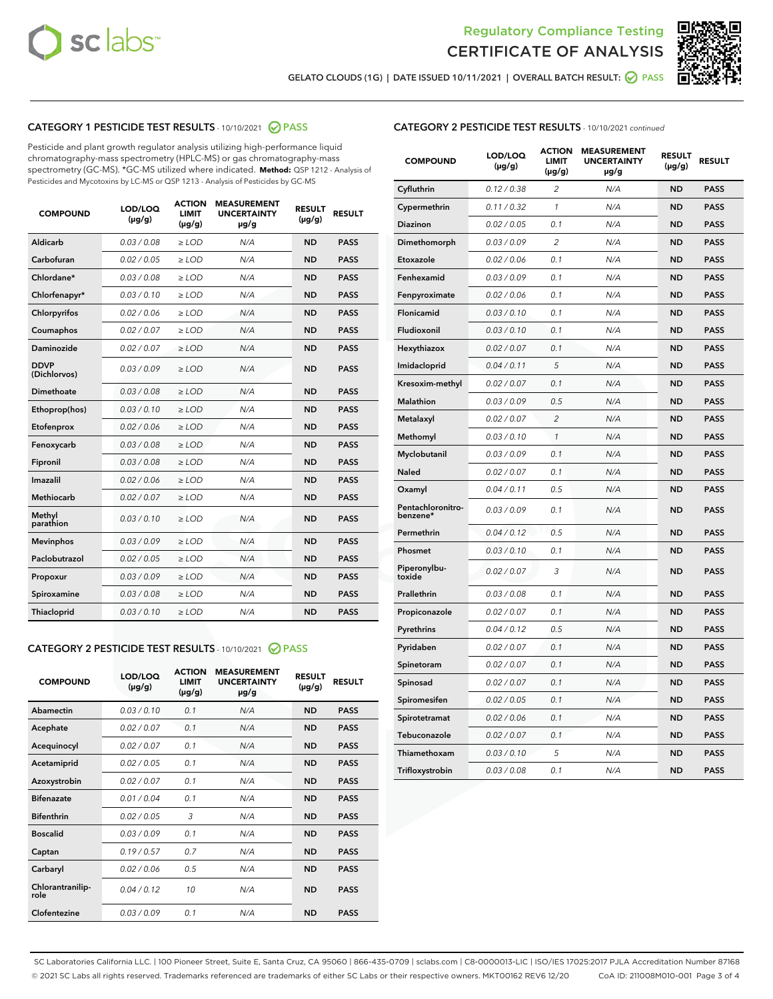



GELATO CLOUDS (1G) | DATE ISSUED 10/11/2021 | OVERALL BATCH RESULT:  $\bigcirc$  PASS

## CATEGORY 1 PESTICIDE TEST RESULTS - 10/10/2021 2 PASS

Pesticide and plant growth regulator analysis utilizing high-performance liquid chromatography-mass spectrometry (HPLC-MS) or gas chromatography-mass spectrometry (GC-MS). \*GC-MS utilized where indicated. **Method:** QSP 1212 - Analysis of Pesticides and Mycotoxins by LC-MS or QSP 1213 - Analysis of Pesticides by GC-MS

| <b>Aldicarb</b><br>0.03 / 0.08<br><b>ND</b><br>$\ge$ LOD<br>N/A<br><b>PASS</b><br>Carbofuran<br>0.02/0.05<br>$\ge$ LOD<br>N/A<br><b>ND</b><br><b>PASS</b><br>Chlordane*<br>0.03 / 0.08<br><b>ND</b><br>$>$ LOD<br>N/A<br><b>PASS</b><br>0.03/0.10<br><b>ND</b><br><b>PASS</b><br>Chlorfenapyr*<br>$\ge$ LOD<br>N/A<br>0.02 / 0.06<br>N/A<br><b>ND</b><br><b>PASS</b><br>Chlorpyrifos<br>$\ge$ LOD<br>0.02 / 0.07<br>N/A<br><b>ND</b><br><b>PASS</b><br>Coumaphos<br>$>$ LOD<br><b>Daminozide</b><br>0.02 / 0.07<br>$\ge$ LOD<br>N/A<br><b>ND</b><br><b>PASS</b><br><b>DDVP</b><br>0.03/0.09<br>$\ge$ LOD<br>N/A<br><b>ND</b><br><b>PASS</b><br>(Dichlorvos)<br>Dimethoate<br><b>ND</b><br><b>PASS</b><br>0.03 / 0.08<br>$>$ LOD<br>N/A<br>0.03/0.10<br>Ethoprop(hos)<br>$\ge$ LOD<br>N/A<br><b>ND</b><br><b>PASS</b><br>0.02/0.06<br>$\ge$ LOD<br>N/A<br><b>ND</b><br><b>PASS</b><br>Etofenprox<br>Fenoxycarb<br>0.03 / 0.08<br>$>$ LOD<br>N/A<br><b>ND</b><br><b>PASS</b><br>0.03 / 0.08<br><b>ND</b><br><b>PASS</b><br>Fipronil<br>$\ge$ LOD<br>N/A<br>Imazalil<br>0.02 / 0.06<br>$>$ LOD<br>N/A<br><b>ND</b><br><b>PASS</b><br>0.02 / 0.07<br>Methiocarb<br>N/A<br><b>ND</b><br>$>$ LOD<br><b>PASS</b><br>Methyl<br>0.03/0.10<br>$\ge$ LOD<br>N/A<br><b>ND</b><br><b>PASS</b><br>parathion<br>0.03/0.09<br>$\ge$ LOD<br>N/A<br><b>ND</b><br><b>PASS</b><br><b>Mevinphos</b><br>Paclobutrazol<br>0.02 / 0.05<br>$\ge$ LOD<br>N/A<br><b>ND</b><br><b>PASS</b><br>0.03/0.09<br>N/A<br>$\ge$ LOD<br><b>ND</b><br><b>PASS</b><br>Propoxur<br>0.03 / 0.08<br><b>ND</b><br><b>PASS</b><br>Spiroxamine<br>$\ge$ LOD<br>N/A<br><b>PASS</b><br>Thiacloprid<br>0.03/0.10<br>$\ge$ LOD<br>N/A<br><b>ND</b> | <b>COMPOUND</b> | LOD/LOQ<br>$(\mu g/g)$ | <b>ACTION</b><br>LIMIT<br>$(\mu g/g)$ | <b>MEASUREMENT</b><br><b>UNCERTAINTY</b><br>$\mu$ g/g | <b>RESULT</b><br>$(\mu g/g)$ | <b>RESULT</b> |
|---------------------------------------------------------------------------------------------------------------------------------------------------------------------------------------------------------------------------------------------------------------------------------------------------------------------------------------------------------------------------------------------------------------------------------------------------------------------------------------------------------------------------------------------------------------------------------------------------------------------------------------------------------------------------------------------------------------------------------------------------------------------------------------------------------------------------------------------------------------------------------------------------------------------------------------------------------------------------------------------------------------------------------------------------------------------------------------------------------------------------------------------------------------------------------------------------------------------------------------------------------------------------------------------------------------------------------------------------------------------------------------------------------------------------------------------------------------------------------------------------------------------------------------------------------------------------------------------------------------------------------------------------------------------------------------------------|-----------------|------------------------|---------------------------------------|-------------------------------------------------------|------------------------------|---------------|
|                                                                                                                                                                                                                                                                                                                                                                                                                                                                                                                                                                                                                                                                                                                                                                                                                                                                                                                                                                                                                                                                                                                                                                                                                                                                                                                                                                                                                                                                                                                                                                                                                                                                                                   |                 |                        |                                       |                                                       |                              |               |
|                                                                                                                                                                                                                                                                                                                                                                                                                                                                                                                                                                                                                                                                                                                                                                                                                                                                                                                                                                                                                                                                                                                                                                                                                                                                                                                                                                                                                                                                                                                                                                                                                                                                                                   |                 |                        |                                       |                                                       |                              |               |
|                                                                                                                                                                                                                                                                                                                                                                                                                                                                                                                                                                                                                                                                                                                                                                                                                                                                                                                                                                                                                                                                                                                                                                                                                                                                                                                                                                                                                                                                                                                                                                                                                                                                                                   |                 |                        |                                       |                                                       |                              |               |
|                                                                                                                                                                                                                                                                                                                                                                                                                                                                                                                                                                                                                                                                                                                                                                                                                                                                                                                                                                                                                                                                                                                                                                                                                                                                                                                                                                                                                                                                                                                                                                                                                                                                                                   |                 |                        |                                       |                                                       |                              |               |
|                                                                                                                                                                                                                                                                                                                                                                                                                                                                                                                                                                                                                                                                                                                                                                                                                                                                                                                                                                                                                                                                                                                                                                                                                                                                                                                                                                                                                                                                                                                                                                                                                                                                                                   |                 |                        |                                       |                                                       |                              |               |
|                                                                                                                                                                                                                                                                                                                                                                                                                                                                                                                                                                                                                                                                                                                                                                                                                                                                                                                                                                                                                                                                                                                                                                                                                                                                                                                                                                                                                                                                                                                                                                                                                                                                                                   |                 |                        |                                       |                                                       |                              |               |
|                                                                                                                                                                                                                                                                                                                                                                                                                                                                                                                                                                                                                                                                                                                                                                                                                                                                                                                                                                                                                                                                                                                                                                                                                                                                                                                                                                                                                                                                                                                                                                                                                                                                                                   |                 |                        |                                       |                                                       |                              |               |
|                                                                                                                                                                                                                                                                                                                                                                                                                                                                                                                                                                                                                                                                                                                                                                                                                                                                                                                                                                                                                                                                                                                                                                                                                                                                                                                                                                                                                                                                                                                                                                                                                                                                                                   |                 |                        |                                       |                                                       |                              |               |
|                                                                                                                                                                                                                                                                                                                                                                                                                                                                                                                                                                                                                                                                                                                                                                                                                                                                                                                                                                                                                                                                                                                                                                                                                                                                                                                                                                                                                                                                                                                                                                                                                                                                                                   |                 |                        |                                       |                                                       |                              |               |
|                                                                                                                                                                                                                                                                                                                                                                                                                                                                                                                                                                                                                                                                                                                                                                                                                                                                                                                                                                                                                                                                                                                                                                                                                                                                                                                                                                                                                                                                                                                                                                                                                                                                                                   |                 |                        |                                       |                                                       |                              |               |
|                                                                                                                                                                                                                                                                                                                                                                                                                                                                                                                                                                                                                                                                                                                                                                                                                                                                                                                                                                                                                                                                                                                                                                                                                                                                                                                                                                                                                                                                                                                                                                                                                                                                                                   |                 |                        |                                       |                                                       |                              |               |
|                                                                                                                                                                                                                                                                                                                                                                                                                                                                                                                                                                                                                                                                                                                                                                                                                                                                                                                                                                                                                                                                                                                                                                                                                                                                                                                                                                                                                                                                                                                                                                                                                                                                                                   |                 |                        |                                       |                                                       |                              |               |
|                                                                                                                                                                                                                                                                                                                                                                                                                                                                                                                                                                                                                                                                                                                                                                                                                                                                                                                                                                                                                                                                                                                                                                                                                                                                                                                                                                                                                                                                                                                                                                                                                                                                                                   |                 |                        |                                       |                                                       |                              |               |
|                                                                                                                                                                                                                                                                                                                                                                                                                                                                                                                                                                                                                                                                                                                                                                                                                                                                                                                                                                                                                                                                                                                                                                                                                                                                                                                                                                                                                                                                                                                                                                                                                                                                                                   |                 |                        |                                       |                                                       |                              |               |
|                                                                                                                                                                                                                                                                                                                                                                                                                                                                                                                                                                                                                                                                                                                                                                                                                                                                                                                                                                                                                                                                                                                                                                                                                                                                                                                                                                                                                                                                                                                                                                                                                                                                                                   |                 |                        |                                       |                                                       |                              |               |
|                                                                                                                                                                                                                                                                                                                                                                                                                                                                                                                                                                                                                                                                                                                                                                                                                                                                                                                                                                                                                                                                                                                                                                                                                                                                                                                                                                                                                                                                                                                                                                                                                                                                                                   |                 |                        |                                       |                                                       |                              |               |
|                                                                                                                                                                                                                                                                                                                                                                                                                                                                                                                                                                                                                                                                                                                                                                                                                                                                                                                                                                                                                                                                                                                                                                                                                                                                                                                                                                                                                                                                                                                                                                                                                                                                                                   |                 |                        |                                       |                                                       |                              |               |
|                                                                                                                                                                                                                                                                                                                                                                                                                                                                                                                                                                                                                                                                                                                                                                                                                                                                                                                                                                                                                                                                                                                                                                                                                                                                                                                                                                                                                                                                                                                                                                                                                                                                                                   |                 |                        |                                       |                                                       |                              |               |
|                                                                                                                                                                                                                                                                                                                                                                                                                                                                                                                                                                                                                                                                                                                                                                                                                                                                                                                                                                                                                                                                                                                                                                                                                                                                                                                                                                                                                                                                                                                                                                                                                                                                                                   |                 |                        |                                       |                                                       |                              |               |
|                                                                                                                                                                                                                                                                                                                                                                                                                                                                                                                                                                                                                                                                                                                                                                                                                                                                                                                                                                                                                                                                                                                                                                                                                                                                                                                                                                                                                                                                                                                                                                                                                                                                                                   |                 |                        |                                       |                                                       |                              |               |
|                                                                                                                                                                                                                                                                                                                                                                                                                                                                                                                                                                                                                                                                                                                                                                                                                                                                                                                                                                                                                                                                                                                                                                                                                                                                                                                                                                                                                                                                                                                                                                                                                                                                                                   |                 |                        |                                       |                                                       |                              |               |

#### CATEGORY 2 PESTICIDE TEST RESULTS - 10/10/2021 @ PASS

| <b>COMPOUND</b>          | LOD/LOO<br>$(\mu g/g)$ | <b>ACTION</b><br>LIMIT<br>$(\mu g/g)$ | <b>MEASUREMENT</b><br><b>UNCERTAINTY</b><br>µg/g | <b>RESULT</b><br>$(\mu g/g)$ | <b>RESULT</b> |  |
|--------------------------|------------------------|---------------------------------------|--------------------------------------------------|------------------------------|---------------|--|
| Abamectin                | 0.03/0.10              | 0.1                                   | N/A                                              | <b>ND</b>                    | <b>PASS</b>   |  |
| Acephate                 | 0.02/0.07              | 0.1                                   | N/A                                              | <b>ND</b>                    | <b>PASS</b>   |  |
| Acequinocyl              | 0.02/0.07              | 0.1                                   | N/A                                              | <b>ND</b>                    | <b>PASS</b>   |  |
| Acetamiprid              | 0.02 / 0.05            | 0.1                                   | N/A                                              | <b>ND</b>                    | <b>PASS</b>   |  |
| Azoxystrobin             | 0.02/0.07              | 0.1                                   | N/A                                              | <b>ND</b>                    | <b>PASS</b>   |  |
| <b>Bifenazate</b>        | 0.01 / 0.04            | 0.1                                   | N/A                                              | <b>ND</b>                    | <b>PASS</b>   |  |
| <b>Bifenthrin</b>        | 0.02 / 0.05            | 3                                     | N/A                                              | <b>ND</b>                    | <b>PASS</b>   |  |
| <b>Boscalid</b>          | 0.03/0.09              | 0.1                                   | N/A                                              | <b>ND</b>                    | <b>PASS</b>   |  |
| Captan                   | 0.19/0.57              | 0.7                                   | N/A                                              | <b>ND</b>                    | <b>PASS</b>   |  |
| Carbaryl                 | 0.02/0.06              | 0.5                                   | N/A                                              | <b>ND</b>                    | <b>PASS</b>   |  |
| Chlorantranilip-<br>role | 0.04/0.12              | 10                                    | N/A                                              | <b>ND</b>                    | <b>PASS</b>   |  |
| Clofentezine             | 0.03/0.09              | 0.1                                   | N/A                                              | <b>ND</b>                    | <b>PASS</b>   |  |

## CATEGORY 2 PESTICIDE TEST RESULTS - 10/10/2021 continued

| <b>COMPOUND</b>               | LOD/LOQ<br>(µg/g) | <b>ACTION</b><br>LIMIT<br>$(\mu g/g)$ | <b>MEASUREMENT</b><br><b>UNCERTAINTY</b><br>µg/g | <b>RESULT</b><br>(µg/g) | <b>RESULT</b> |
|-------------------------------|-------------------|---------------------------------------|--------------------------------------------------|-------------------------|---------------|
| Cyfluthrin                    | 0.12 / 0.38       | $\overline{c}$                        | N/A                                              | ND                      | <b>PASS</b>   |
| Cypermethrin                  | 0.11 / 0.32       | $\mathcal{I}$                         | N/A                                              | ND                      | PASS          |
| <b>Diazinon</b>               | 0.02 / 0.05       | 0.1                                   | N/A                                              | <b>ND</b>               | <b>PASS</b>   |
| Dimethomorph                  | 0.03 / 0.09       | 2                                     | N/A                                              | ND                      | PASS          |
| Etoxazole                     | 0.02 / 0.06       | 0.1                                   | N/A                                              | ND                      | <b>PASS</b>   |
| Fenhexamid                    | 0.03 / 0.09       | 0.1                                   | N/A                                              | ND                      | <b>PASS</b>   |
| Fenpyroximate                 | 0.02 / 0.06       | 0.1                                   | N/A                                              | <b>ND</b>               | <b>PASS</b>   |
| Flonicamid                    | 0.03 / 0.10       | 0.1                                   | N/A                                              | ND                      | <b>PASS</b>   |
| Fludioxonil                   | 0.03 / 0.10       | 0.1                                   | N/A                                              | ND                      | <b>PASS</b>   |
| Hexythiazox                   | 0.02 / 0.07       | 0.1                                   | N/A                                              | ND                      | <b>PASS</b>   |
| Imidacloprid                  | 0.04 / 0.11       | 5                                     | N/A                                              | ND                      | <b>PASS</b>   |
| Kresoxim-methyl               | 0.02 / 0.07       | 0.1                                   | N/A                                              | ND                      | <b>PASS</b>   |
| Malathion                     | 0.03 / 0.09       | 0.5                                   | N/A                                              | ND                      | <b>PASS</b>   |
| Metalaxyl                     | 0.02 / 0.07       | $\overline{c}$                        | N/A                                              | ND                      | <b>PASS</b>   |
| Methomyl                      | 0.03 / 0.10       | $\mathbf{1}$                          | N/A                                              | ND                      | <b>PASS</b>   |
| Myclobutanil                  | 0.03 / 0.09       | 0.1                                   | N/A                                              | <b>ND</b>               | <b>PASS</b>   |
| Naled                         | 0.02 / 0.07       | 0.1                                   | N/A                                              | ND                      | <b>PASS</b>   |
| Oxamyl                        | 0.04 / 0.11       | 0.5                                   | N/A                                              | ND                      | PASS          |
| Pentachloronitro-<br>benzene* | 0.03 / 0.09       | 0.1                                   | N/A                                              | ND                      | <b>PASS</b>   |
| Permethrin                    | 0.04 / 0.12       | 0.5                                   | N/A                                              | ND                      | <b>PASS</b>   |
| Phosmet                       | 0.03 / 0.10       | 0.1                                   | N/A                                              | ND                      | <b>PASS</b>   |
| Piperonylbu-<br>toxide        | 0.02 / 0.07       | 3                                     | N/A                                              | <b>ND</b>               | <b>PASS</b>   |
| Prallethrin                   | 0.03 / 0.08       | 0.1                                   | N/A                                              | ND                      | <b>PASS</b>   |
| Propiconazole                 | 0.02 / 0.07       | 0.1                                   | N/A                                              | <b>ND</b>               | <b>PASS</b>   |
| Pyrethrins                    | 0.04 / 0.12       | 0.5                                   | N/A                                              | ND                      | PASS          |
| Pyridaben                     | 0.02 / 0.07       | 0.1                                   | N/A                                              | <b>ND</b>               | <b>PASS</b>   |
| Spinetoram                    | 0.02 / 0.07       | 0.1                                   | N/A                                              | ND                      | <b>PASS</b>   |
| Spinosad                      | 0.02 / 0.07       | 0.1                                   | N/A                                              | ND                      | PASS          |
| Spiromesifen                  | 0.02 / 0.05       | 0.1                                   | N/A                                              | <b>ND</b>               | <b>PASS</b>   |
| Spirotetramat                 | 0.02 / 0.06       | 0.1                                   | N/A                                              | ND                      | <b>PASS</b>   |
| Tebuconazole                  | 0.02 / 0.07       | 0.1                                   | N/A                                              | ND                      | <b>PASS</b>   |
| Thiamethoxam                  | 0.03 / 0.10       | 5                                     | N/A                                              | <b>ND</b>               | <b>PASS</b>   |
| Trifloxystrobin               | 0.03 / 0.08       | 0.1                                   | N/A                                              | <b>ND</b>               | <b>PASS</b>   |

SC Laboratories California LLC. | 100 Pioneer Street, Suite E, Santa Cruz, CA 95060 | 866-435-0709 | sclabs.com | C8-0000013-LIC | ISO/IES 17025:2017 PJLA Accreditation Number 87168 © 2021 SC Labs all rights reserved. Trademarks referenced are trademarks of either SC Labs or their respective owners. MKT00162 REV6 12/20 CoA ID: 211008M010-001 Page 3 of 4